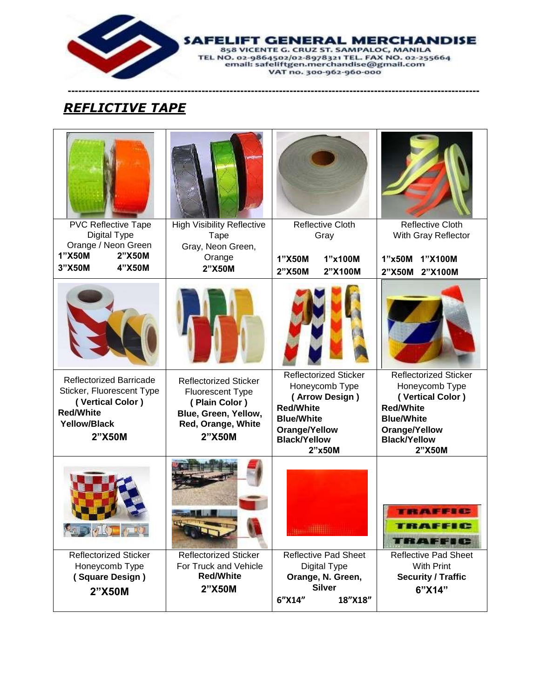

**SAFELIFT GENERAL MERCHANDISE EL NO. 02-9864502/02-8978321 TEL FAX NO. 02-255664**<br>TEL NO. 02-9864502/02-8978321 TEL FAX NO. 02-255664<br>email: safeliftgen.merchandise@gmail.com

VAT no. 300-962-960-000

**---------------------------------------------------------------------------------------------------------------------**

## *REFLICTIVE TAPE*

| <b>PVC Reflective Tape</b><br>Digital Type                                                                                           | <b>High Visibility Reflective</b>                                                                                                | Reflective Cloth                                                                                                                                            | <b>Reflective Cloth</b>                                                                                                                                       |
|--------------------------------------------------------------------------------------------------------------------------------------|----------------------------------------------------------------------------------------------------------------------------------|-------------------------------------------------------------------------------------------------------------------------------------------------------------|---------------------------------------------------------------------------------------------------------------------------------------------------------------|
| Orange / Neon Green<br>1"X50M<br>2"X50M<br>3"X50M<br>4"X50M                                                                          | Tape<br>Gray, Neon Green,<br>Orange<br>2"X50M                                                                                    | Gray<br>1"X50M<br>1"x100M<br>2"X50M<br>2"X100M                                                                                                              | With Gray Reflector<br>1"x50M<br>1"X100M<br>2"X50M<br>2"X100M                                                                                                 |
|                                                                                                                                      |                                                                                                                                  |                                                                                                                                                             |                                                                                                                                                               |
| <b>Reflectorized Barricade</b><br>Sticker, Fluorescent Type<br>(Vertical Color)<br><b>Red/White</b><br><b>Yellow/Black</b><br>2"X50M | <b>Reflectorized Sticker</b><br>Fluorescent Type<br>(Plain Color)<br>Blue, Green, Yellow,<br>Red, Orange, White<br><b>2"X50M</b> | <b>Reflectorized Sticker</b><br>Honeycomb Type<br>(Arrow Design)<br><b>Red/White</b><br><b>Blue/White</b><br>Orange/Yellow<br><b>Black/Yellow</b><br>2"x50M | <b>Reflectorized Sticker</b><br>Honeycomb Type<br>(Vertical Color)<br><b>Red/White</b><br><b>Blue/White</b><br>Orange/Yellow<br><b>Black/Yellow</b><br>2"X50M |
|                                                                                                                                      |                                                                                                                                  |                                                                                                                                                             | TRAFFIC                                                                                                                                                       |
| <b>Reflectorized Sticker</b><br>Honeycomb Type<br>(Square Design)<br>2"X50M                                                          | <b>Reflectorized Sticker</b><br>For Truck and Vehicle<br><b>Red/White</b><br>2"X50M                                              | <b>Reflective Pad Sheet</b><br>Digital Type<br>Orange, N. Green,<br><b>Silver</b><br>6"X14"<br>18"X18"                                                      | <b>Reflective Pad Sheet</b><br><b>With Print</b><br><b>Security / Traffic</b><br>6"X14"                                                                       |